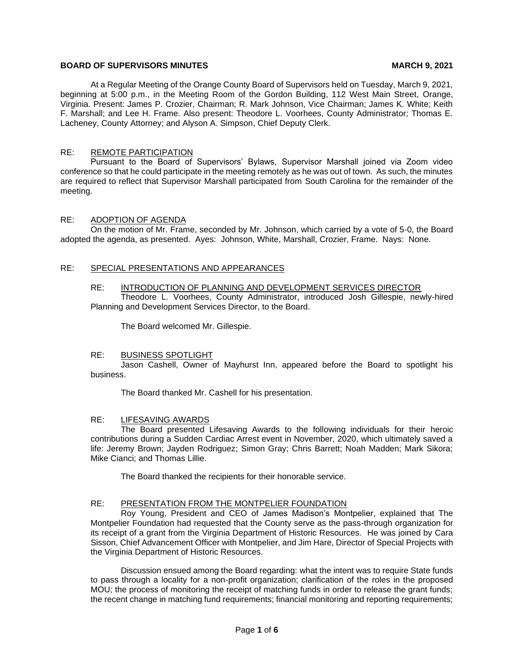## **BOARD OF SUPERVISORS MINUTES MARCH 9, 2021**

At a Regular Meeting of the Orange County Board of Supervisors held on Tuesday, March 9, 2021, beginning at 5:00 p.m., in the Meeting Room of the Gordon Building, 112 West Main Street, Orange, Virginia. Present: James P. Crozier, Chairman; R. Mark Johnson, Vice Chairman; James K. White; Keith F. Marshall; and Lee H. Frame. Also present: Theodore L. Voorhees, County Administrator; Thomas E. Lacheney, County Attorney; and Alyson A. Simpson, Chief Deputy Clerk.

## RE: REMOTE PARTICIPATION

Pursuant to the Board of Supervisors' Bylaws, Supervisor Marshall joined via Zoom video conference so that he could participate in the meeting remotely as he was out of town. As such, the minutes are required to reflect that Supervisor Marshall participated from South Carolina for the remainder of the meeting.

### RE: ADOPTION OF AGENDA

On the motion of Mr. Frame, seconded by Mr. Johnson, which carried by a vote of 5-0, the Board adopted the agenda, as presented. Ayes: Johnson, White, Marshall, Crozier, Frame. Nays: None.

## RE: SPECIAL PRESENTATIONS AND APPEARANCES

#### RE: INTRODUCTION OF PLANNING AND DEVELOPMENT SERVICES DIRECTOR

Theodore L. Voorhees, County Administrator, introduced Josh Gillespie, newly-hired Planning and Development Services Director, to the Board.

The Board welcomed Mr. Gillespie.

#### RE: BUSINESS SPOTLIGHT

Jason Cashell, Owner of Mayhurst Inn, appeared before the Board to spotlight his business.

The Board thanked Mr. Cashell for his presentation.

#### RE: LIFESAVING AWARDS

The Board presented Lifesaving Awards to the following individuals for their heroic contributions during a Sudden Cardiac Arrest event in November, 2020, which ultimately saved a life: Jeremy Brown; Jayden Rodriguez; Simon Gray; Chris Barrett; Noah Madden; Mark Sikora; Mike Cianci; and Thomas Lillie.

The Board thanked the recipients for their honorable service.

#### RE: PRESENTATION FROM THE MONTPELIER FOUNDATION

Roy Young, President and CEO of James Madison's Montpelier, explained that The Montpelier Foundation had requested that the County serve as the pass-through organization for its receipt of a grant from the Virginia Department of Historic Resources. He was joined by Cara Sisson, Chief Advancement Officer with Montpelier, and Jim Hare, Director of Special Projects with the Virginia Department of Historic Resources.

Discussion ensued among the Board regarding: what the intent was to require State funds to pass through a locality for a non-profit organization; clarification of the roles in the proposed MOU; the process of monitoring the receipt of matching funds in order to release the grant funds; the recent change in matching fund requirements; financial monitoring and reporting requirements;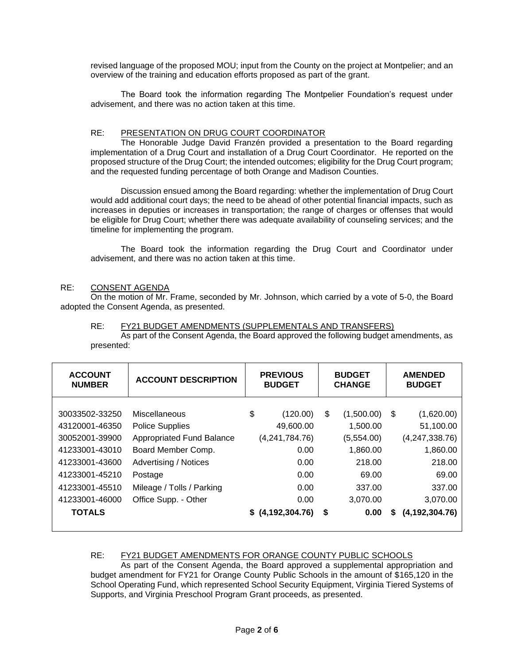revised language of the proposed MOU; input from the County on the project at Montpelier; and an overview of the training and education efforts proposed as part of the grant.

The Board took the information regarding The Montpelier Foundation's request under advisement, and there was no action taken at this time.

## RE: PRESENTATION ON DRUG COURT COORDINATOR

The Honorable Judge David Franzén provided a presentation to the Board regarding implementation of a Drug Court and installation of a Drug Court Coordinator. He reported on the proposed structure of the Drug Court; the intended outcomes; eligibility for the Drug Court program; and the requested funding percentage of both Orange and Madison Counties.

Discussion ensued among the Board regarding: whether the implementation of Drug Court would add additional court days; the need to be ahead of other potential financial impacts, such as increases in deputies or increases in transportation; the range of charges or offenses that would be eligible for Drug Court; whether there was adequate availability of counseling services; and the timeline for implementing the program.

The Board took the information regarding the Drug Court and Coordinator under advisement, and there was no action taken at this time.

## RE: CONSENT AGENDA

On the motion of Mr. Frame, seconded by Mr. Johnson, which carried by a vote of 5-0, the Board adopted the Consent Agenda, as presented.

### RE: FY21 BUDGET AMENDMENTS (SUPPLEMENTALS AND TRANSFERS)

As part of the Consent Agenda, the Board approved the following budget amendments, as presented:

| <b>ACCOUNT</b><br><b>NUMBER</b>                                                                                                              | <b>ACCOUNT DESCRIPTION</b>                                                                                                                                                                 | <b>PREVIOUS</b><br><b>BUDGET</b> |                                                                                 | <b>BUDGET</b><br><b>CHANGE</b> |                                                                                           | <b>AMENDED</b><br><b>BUDGET</b> |                                                                                                  |
|----------------------------------------------------------------------------------------------------------------------------------------------|--------------------------------------------------------------------------------------------------------------------------------------------------------------------------------------------|----------------------------------|---------------------------------------------------------------------------------|--------------------------------|-------------------------------------------------------------------------------------------|---------------------------------|--------------------------------------------------------------------------------------------------|
| 30033502-33250<br>43120001-46350<br>30052001-39900<br>41233001-43010<br>41233001-43600<br>41233001-45210<br>41233001-45510<br>41233001-46000 | Miscellaneous<br><b>Police Supplies</b><br><b>Appropriated Fund Balance</b><br>Board Member Comp.<br>Advertising / Notices<br>Postage<br>Mileage / Tolls / Parking<br>Office Supp. - Other | \$                               | (120.00)<br>49,600.00<br>(4,241,784.76)<br>0.00<br>0.00<br>0.00<br>0.00<br>0.00 | \$                             | (1,500.00)<br>1,500.00<br>(5,554.00)<br>1,860.00<br>218.00<br>69.00<br>337.00<br>3,070.00 | \$                              | (1,620.00)<br>51,100.00<br>(4, 247, 338.76)<br>1,860.00<br>218.00<br>69.00<br>337.00<br>3,070.00 |
| <b>TOTALS</b>                                                                                                                                |                                                                                                                                                                                            |                                  | \$ (4, 192, 304.76)                                                             | \$                             | 0.00                                                                                      | S                               | (4, 192, 304.76)                                                                                 |

# RE: FY21 BUDGET AMENDMENTS FOR ORANGE COUNTY PUBLIC SCHOOLS

As part of the Consent Agenda, the Board approved a supplemental appropriation and budget amendment for FY21 for Orange County Public Schools in the amount of \$165,120 in the School Operating Fund, which represented School Security Equipment, Virginia Tiered Systems of Supports, and Virginia Preschool Program Grant proceeds, as presented.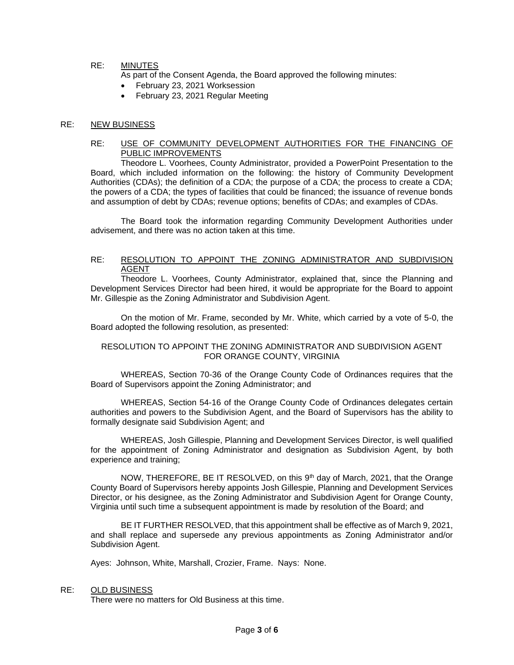# RE: MINUTES

As part of the Consent Agenda, the Board approved the following minutes:

- February 23, 2021 Worksession
- February 23, 2021 Regular Meeting

#### RE: NEW BUSINESS

## RE: USE OF COMMUNITY DEVELOPMENT AUTHORITIES FOR THE FINANCING OF PUBLIC IMPROVEMENTS

Theodore L. Voorhees, County Administrator, provided a PowerPoint Presentation to the Board, which included information on the following: the history of Community Development Authorities (CDAs); the definition of a CDA; the purpose of a CDA; the process to create a CDA; the powers of a CDA; the types of facilities that could be financed; the issuance of revenue bonds and assumption of debt by CDAs; revenue options; benefits of CDAs; and examples of CDAs.

The Board took the information regarding Community Development Authorities under advisement, and there was no action taken at this time.

#### RE: RESOLUTION TO APPOINT THE ZONING ADMINISTRATOR AND SUBDIVISION AGENT

Theodore L. Voorhees, County Administrator, explained that, since the Planning and Development Services Director had been hired, it would be appropriate for the Board to appoint Mr. Gillespie as the Zoning Administrator and Subdivision Agent.

On the motion of Mr. Frame, seconded by Mr. White, which carried by a vote of 5-0, the Board adopted the following resolution, as presented:

### RESOLUTION TO APPOINT THE ZONING ADMINISTRATOR AND SUBDIVISION AGENT FOR ORANGE COUNTY, VIRGINIA

WHEREAS, Section 70-36 of the Orange County Code of Ordinances requires that the Board of Supervisors appoint the Zoning Administrator; and

WHEREAS, Section 54-16 of the Orange County Code of Ordinances delegates certain authorities and powers to the Subdivision Agent, and the Board of Supervisors has the ability to formally designate said Subdivision Agent; and

WHEREAS, Josh Gillespie, Planning and Development Services Director, is well qualified for the appointment of Zoning Administrator and designation as Subdivision Agent, by both experience and training;

NOW, THEREFORE, BE IT RESOLVED, on this 9<sup>th</sup> day of March, 2021, that the Orange County Board of Supervisors hereby appoints Josh Gillespie, Planning and Development Services Director, or his designee, as the Zoning Administrator and Subdivision Agent for Orange County, Virginia until such time a subsequent appointment is made by resolution of the Board; and

BE IT FURTHER RESOLVED, that this appointment shall be effective as of March 9, 2021, and shall replace and supersede any previous appointments as Zoning Administrator and/or Subdivision Agent.

Ayes: Johnson, White, Marshall, Crozier, Frame. Nays: None.

#### RE: OLD BUSINESS

There were no matters for Old Business at this time.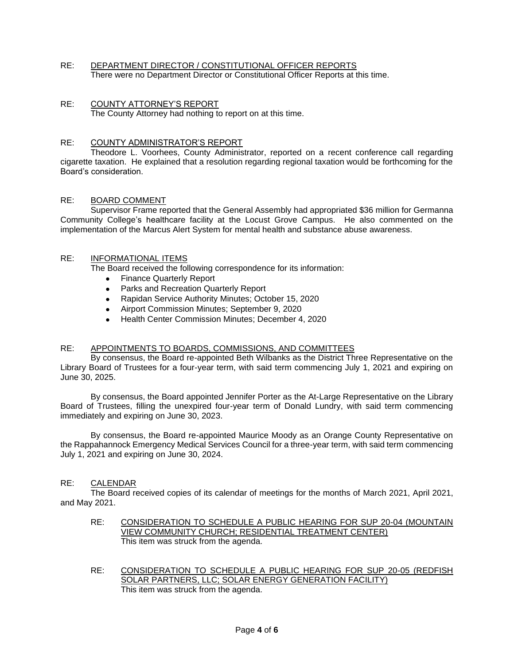- RE: DEPARTMENT DIRECTOR / CONSTITUTIONAL OFFICER REPORTS There were no Department Director or Constitutional Officer Reports at this time.
- RE: COUNTY ATTORNEY'S REPORT The County Attorney had nothing to report on at this time.

## RE: COUNTY ADMINISTRATOR'S REPORT

Theodore L. Voorhees, County Administrator, reported on a recent conference call regarding cigarette taxation. He explained that a resolution regarding regional taxation would be forthcoming for the Board's consideration.

## RE: BOARD COMMENT

Supervisor Frame reported that the General Assembly had appropriated \$36 million for Germanna Community College's healthcare facility at the Locust Grove Campus. He also commented on the implementation of the Marcus Alert System for mental health and substance abuse awareness.

# RE: INFORMATIONAL ITEMS

The Board received the following correspondence for its information:

- Finance Quarterly Report
- Parks and Recreation Quarterly Report
- Rapidan Service Authority Minutes; October 15, 2020
- Airport Commission Minutes; September 9, 2020
- Health Center Commission Minutes; December 4, 2020

### RE: APPOINTMENTS TO BOARDS, COMMISSIONS, AND COMMITTEES

By consensus, the Board re-appointed Beth Wilbanks as the District Three Representative on the Library Board of Trustees for a four-year term, with said term commencing July 1, 2021 and expiring on June 30, 2025.

By consensus, the Board appointed Jennifer Porter as the At-Large Representative on the Library Board of Trustees, filling the unexpired four-year term of Donald Lundry, with said term commencing immediately and expiring on June 30, 2023.

By consensus, the Board re-appointed Maurice Moody as an Orange County Representative on the Rappahannock Emergency Medical Services Council for a three-year term, with said term commencing July 1, 2021 and expiring on June 30, 2024.

### RE: CALENDAR

The Board received copies of its calendar of meetings for the months of March 2021, April 2021, and May 2021.

- RE: CONSIDERATION TO SCHEDULE A PUBLIC HEARING FOR SUP 20-04 (MOUNTAIN VIEW COMMUNITY CHURCH; RESIDENTIAL TREATMENT CENTER) This item was struck from the agenda.
- RE: CONSIDERATION TO SCHEDULE A PUBLIC HEARING FOR SUP 20-05 (REDFISH SOLAR PARTNERS, LLC; SOLAR ENERGY GENERATION FACILITY) This item was struck from the agenda.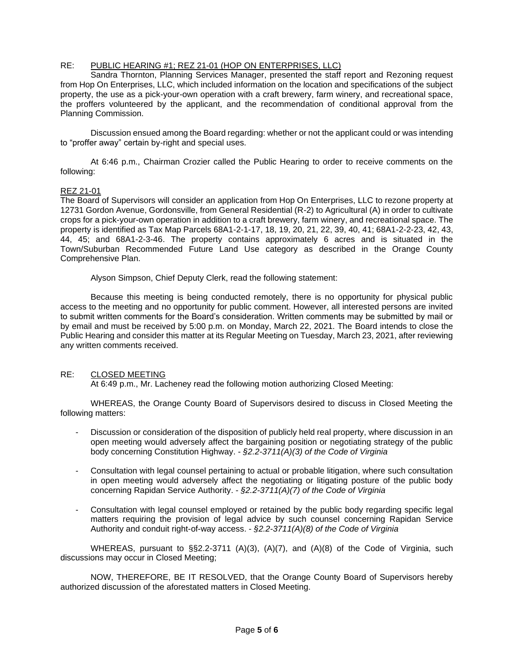# RE: PUBLIC HEARING #1; REZ 21-01 (HOP ON ENTERPRISES, LLC)

Sandra Thornton, Planning Services Manager, presented the staff report and Rezoning request from Hop On Enterprises, LLC, which included information on the location and specifications of the subject property, the use as a pick-your-own operation with a craft brewery, farm winery, and recreational space, the proffers volunteered by the applicant, and the recommendation of conditional approval from the Planning Commission.

Discussion ensued among the Board regarding: whether or not the applicant could or was intending to "proffer away" certain by-right and special uses.

At 6:46 p.m., Chairman Crozier called the Public Hearing to order to receive comments on the following:

## REZ 21-01

The Board of Supervisors will consider an application from Hop On Enterprises, LLC to rezone property at 12731 Gordon Avenue, Gordonsville, from General Residential (R-2) to Agricultural (A) in order to cultivate crops for a pick-your-own operation in addition to a craft brewery, farm winery, and recreational space. The property is identified as Tax Map Parcels 68A1-2-1-17, 18, 19, 20, 21, 22, 39, 40, 41; 68A1-2-2-23, 42, 43, 44, 45; and 68A1-2-3-46. The property contains approximately 6 acres and is situated in the Town/Suburban Recommended Future Land Use category as described in the Orange County Comprehensive Plan.

Alyson Simpson, Chief Deputy Clerk, read the following statement:

Because this meeting is being conducted remotely, there is no opportunity for physical public access to the meeting and no opportunity for public comment. However, all interested persons are invited to submit written comments for the Board's consideration. Written comments may be submitted by mail or by email and must be received by 5:00 p.m. on Monday, March 22, 2021. The Board intends to close the Public Hearing and consider this matter at its Regular Meeting on Tuesday, March 23, 2021, after reviewing any written comments received.

## RE: CLOSED MEETING

At 6:49 p.m., Mr. Lacheney read the following motion authorizing Closed Meeting:

WHEREAS, the Orange County Board of Supervisors desired to discuss in Closed Meeting the following matters:

- Discussion or consideration of the disposition of publicly held real property, where discussion in an open meeting would adversely affect the bargaining position or negotiating strategy of the public body concerning Constitution Highway. - *§2.2-3711(A)(3) of the Code of Virginia*
- Consultation with legal counsel pertaining to actual or probable litigation, where such consultation in open meeting would adversely affect the negotiating or litigating posture of the public body concerning Rapidan Service Authority. - *§2.2-3711(A)(7) of the Code of Virginia*
- Consultation with legal counsel employed or retained by the public body regarding specific legal matters requiring the provision of legal advice by such counsel concerning Rapidan Service Authority and conduit right-of-way access. - *§2.2-3711(A)(8) of the Code of Virginia*

WHEREAS, pursuant to §§2.2-3711 (A)(3), (A)(7), and (A)(8) of the Code of Virginia, such discussions may occur in Closed Meeting;

NOW, THEREFORE, BE IT RESOLVED, that the Orange County Board of Supervisors hereby authorized discussion of the aforestated matters in Closed Meeting.